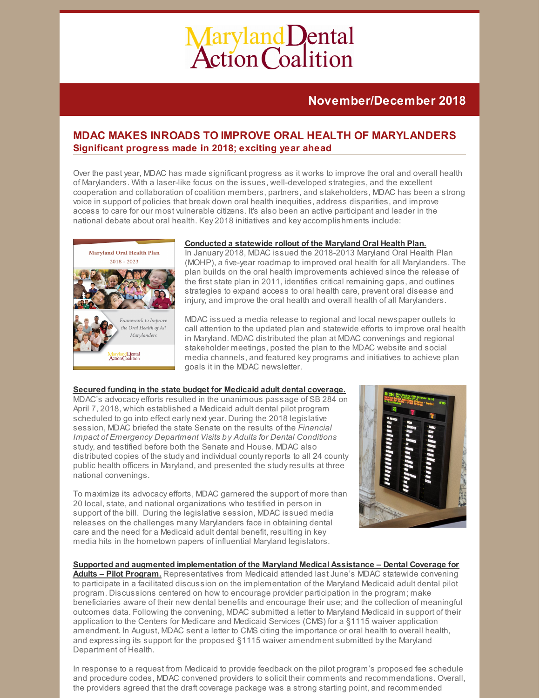# Maryland Dental<br>Action Coalition

# **November/December 2018**

# **MDAC MAKES INROADS TO IMPROVE ORAL HEALTH OF MARYLANDERS Significant progress made in 2018; exciting year ahead**

Over the past year, MDAC has made significant progress as it works to improve the oral and overall health of Marylanders. With a laser-like focus on the issues, well-developed strategies, and the excellent cooperation and collaboration of coalition members, partners, and stakeholders, MDAC has been a strong voice in support of policies that break down oral health inequities, address disparities, and improve access to care for our most vulnerable citizens. It's also been an active participant and leader in the national debate about oral health. Key 2018 initiatives and key accomplishments include:



# **Conducted a statewide rollout of the Maryland Oral Health Plan.**

In January 2018, MDAC issued the 2018-2013 Maryland Oral Health Plan (MOHP), a five-year roadmap to improved oral health for all Marylanders. The plan builds on the oral health improvements achieved since the release of the first state plan in 2011, identifies critical remaining gaps, and outlines strategies to expand access to oral health care, prevent oral disease and injury, and improve the oral health and overall health of all Marylanders.

MDAC issued a media release to regional and local newspaper outlets to call attention to the updated plan and statewide efforts to improve oral health in Maryland. MDAC distributed the plan at MDAC convenings and regional stakeholder meetings, posted the plan to the MDAC website and social media channels, and featured key programs and initiatives to achieve plan goals it in the MDAC newsletter.

## **Secured funding in the state budget for Medicaid adult dental coverage.**

MDAC's advocacy efforts resulted in the unanimous passage of SB 284 on April 7, 2018, which established a Medicaid adult dental pilot program scheduled to go into effect early next year. During the 2018 legislative session, MDAC briefed the state Senate on the results of the *Financial Impact of Emergency Department Visits by Adults for Dental Conditions* study, and testified before both the Senate and House. MDAC also distributed copies of the study and individual countyreports to all 24 county public health officers in Maryland, and presented the studyresults at three national convenings.

To maximize its advocacy efforts, MDAC garnered the support of more than 20 local, state, and national organizations who testified in person in support of the bill. During the legislative session, MDAC issued media releases on the challenges many Marylanders face in obtaining dental care and the need for a Medicaid adult dental benefit, resulting in key media hits in the hometown papers of influential Maryland legislators.



## **Supported and augmented implementation of the Maryland Medical Assistance – Dental Coverage for**

**Adults – Pilot Program.** Representatives from Medicaid attended last June's MDAC statewide convening to participate in a facilitated discussion on the implementation of the Maryland Medicaid adult dental pilot program. Discussions centered on how to encourage provider participation in the program; make beneficiaries aware of their new dental benefits and encourage their use; and the collection of meaningful outcomes data. Following the convening, MDAC submitted a letter to Maryland Medicaid in support of their application to the Centers for Medicare and Medicaid Services (CMS) for a §1115 waiver application amendment. In August, MDAC sent a letter to CMS citing the importance or oral health to overall health, and expressing its support for the proposed §1115 waiver amendment submitted bythe Maryland Department of Health.

In response to a request from Medicaid to provide feedback on the pilot program's proposed fee schedule and procedure codes, MDAC convened providers to solicit their comments and recommendations. Overall, the providers agreed that the draft coverage package was a strong starting point, and recommended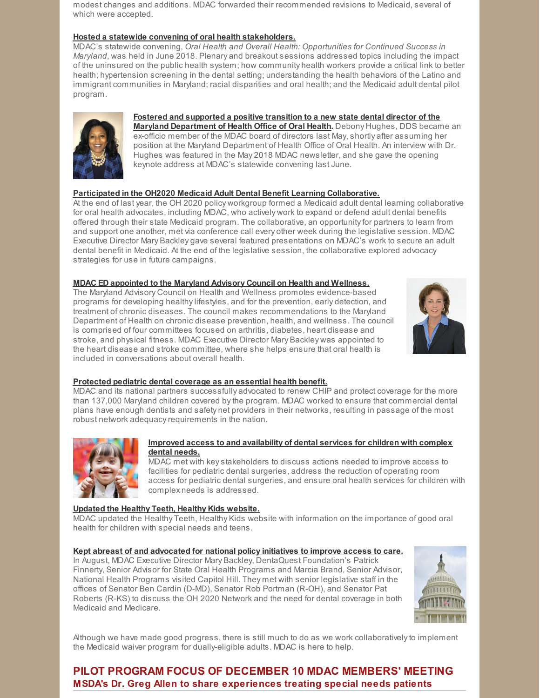modest changes and additions. MDAC forwarded their recommended revisions to Medicaid, several of which were accepted.

### **Hosted a statewide convening of oral health stakeholders.**

MDAC's statewide convening, *Oral Health and Overall Health: Opportunities for Continued Success in Maryland*, was held in June 2018. Plenary and breakout sessions addressed topics including the impact of the uninsured on the public health system; how community health workers provide a critical link to better health; hypertension screening in the dental setting; understanding the health behaviors of the Latino and immigrant communities in Maryland; racial disparities and oral health; and the Medicaid adult dental pilot program.



### **Fostered and supported a positive transition to a new state dental director of the Maryland Department of Health Office of Oral Health.** Debony Hughes, DDS became an ex-officio member of the MDAC board of directors last May, shortly after assuming her position at the Maryland Department of Health Office of Oral Health. An interview with Dr. Hughes was featured in the May 2018 MDAC newsletter, and she gave the opening keynote address at MDAC's statewide convening last June.

### **Participated in the OH2020 Medicaid Adult Dental Benefit Learning Collaborative.**

At the end of last year, the OH 2020 policy workgroup formed a Medicaid adult dental learning collaborative for oral health advocates, including MDAC, who actively work to expand or defend adult dental benefits offered through their state Medicaid program. The collaborative, an opportunityfor partners to learn from and support one another, met via conference call every other week during the legislative session. MDAC Executive Director Mary Backley gave several featured presentations on MDAC's work to secure an adult dental benefit in Medicaid. At the end of the legislative session, the collaborative explored advocacy strategies for use in future campaigns.

### **MDAC ED appointed to the Maryland Advisory Council on Health and Wellness.**

The Maryland Advisory Council on Health and Wellness promotes evidence-based programs for developing healthylifestyles, and for the prevention, early detection, and treatment of chronic diseases. The council makes recommendations to the Maryland Department of Health on chronic disease prevention, health, and wellness. The council is comprised of four committees focused on arthritis, diabetes, heart disease and stroke, and physical fitness. MDAC Executive Director Mary Backley was appointed to the heart disease and stroke committee, where she helps ensure that oral health is included in conversations about overall health.



## **Protected pediatric dental coverage as an essential health benefit.**

MDAC and its national partners successfully advocated to renew CHIP and protect coverage for the more than 137,000 Maryland children covered bythe program. MDAC worked to ensure that commercial dental plans have enough dentists and safety net providers in their networks, resulting in passage of the most robust network adequacy requirements in the nation.



### **Improved access to and availability of dental services for children with complex dental needs.**

MDAC met with keystakeholders to discuss actions needed to improve access to facilities for pediatric dental surgeries, address the reduction of operating room access for pediatric dental surgeries, and ensure oral health services for children with complex needs is addressed.

## **Updated the Healthy Teeth, Healthy Kids website.**

MDAC updated the Healthy Teeth, Healthy Kids website with information on the importance of good oral health for children with special needs and teens.

## **Kept abreast of and advocated for national policy initiatives to improve access to care.**

In August, MDAC Executive Director Mary Backley, DentaQuest Foundation's Patrick Finnerty, Senior Advisor for State Oral Health Programs and Marcia Brand, Senior Advisor, National Health Programs visited Capitol Hill. They met with senior legislative staff in the offices of Senator Ben Cardin (D-MD), Senator Rob Portman (R-OH), and Senator Pat Roberts (R-KS) to discuss the OH 2020 Network and the need for dental coverage in both Medicaid and Medicare.



Although we have made good progress, there is still much to do as we work collaborativelyto implement the Medicaid waiver program for dually-eligible adults. MDAC is here to help.

# **PILOT PROGRAM FOCUS OF DECEMBER 10 MDAC MEMBERS' MEETING MSDA's Dr. Greg Allen to share experiences treating special needs patients**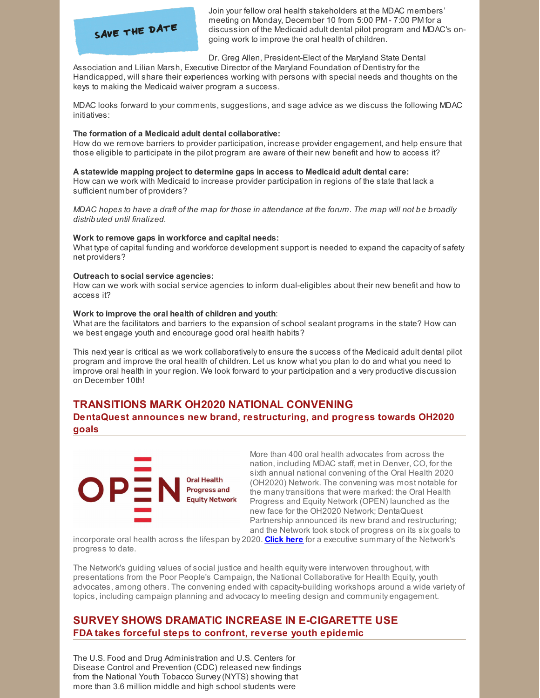

Join your fellow oral health stakeholders at the MDAC members' meeting on Monday, December 10 from 5:00 PM - 7:00 PM for a discussion of the Medicaid adult dental pilot program and MDAC's ongoing work to improve the oral health of children.

Dr. Greg Allen, President-Elect of the Maryland State Dental

Association and Lilian Marsh, Executive Director of the Maryland Foundation of Dentistryfor the Handicapped, will share their experiences working with persons with special needs and thoughts on the keys to making the Medicaid waiver program a success.

MDAC looks forward to your comments, suggestions, and sage advice as we discuss the following MDAC initiatives:

### **The formation of a Medicaid adult dental collaborative:**

How do we remove barriers to provider participation, increase provider engagement, and help ensure that those eligible to participate in the pilot program are aware of their new benefit and how to access it?

### **A statewide mapping project to determine gaps in access to Medicaid adult dental care:**

How can we work with Medicaid to increase provider participation in regions of the state that lack a sufficient number of providers?

MDAC hopes to have a draft of the map for those in attendance at the forum. The map will not be broadly *distributed until finalized.*

### **Work to remove gaps in workforce and capital needs:**

What type of capital funding and workforce development support is needed to expand the capacity of safety net providers?

### **Outreach to social service agencies:**

How can we work with social service agencies to inform dual-eligibles about their new benefit and how to access it?

### **Work to improve the oral health of children and youth**:

What are the facilitators and barriers to the expansion of school sealant programs in the state? How can we best engage youth and encourage good oral health habits?

This next year is critical as we work collaborativelyto ensure the success of the Medicaid adult dental pilot program and improve the oral health of children. Let us know what you plan to do and what you need to improve oral health in your region. We look forward to your participation and a very productive discussion on December 10th!

# **TRANSITIONS MARK OH2020 NATIONAL CONVENING**

**DentaQuest announces new brand, restructuring, and progress towards OH2020 goals**



More than 400 oral health advocates from across the nation, including MDAC staff, met in Denver, CO, for the sixth annual national convening of the Oral Health 2020 (OH2020) Network. The convening was most notable for the manytransitions that were marked: the Oral Health Progress and Equity Network (OPEN) launched as the new face for the OH2020 Network; DentaQuest Partnership announced its new brand and restructuring; and the Network took stock of progress on its six goals to

incorporate oral health across the lifespan by 2020. **[Click](http://files.constantcontact.com/f29af31a201/016a2960-5116-4b6e-9400-ae6a82104c05.pdf) here** for a executive summary of the Network's progress to date.

The Network's guiding values of social justice and health equity were interwoven throughout, with presentations from the Poor People's Campaign, the National Collaborative for Health Equity, youth advocates, among others. The convening ended with capacity-building workshops around a wide variety of topics, including campaign planning and advocacyto meeting design and community engagement.

# **SURVEY SHOWS DRAMATIC INCREASE IN E-CIGARETTE USE FDA takes forceful steps to confront, reverse youth epidemic**

The U.S. Food and Drug Administration and U.S. Centers for Disease Control and Prevention (CDC) released new findings from the National Youth Tobacco Survey(NYTS) showing that more than 3.6 million middle and high school students were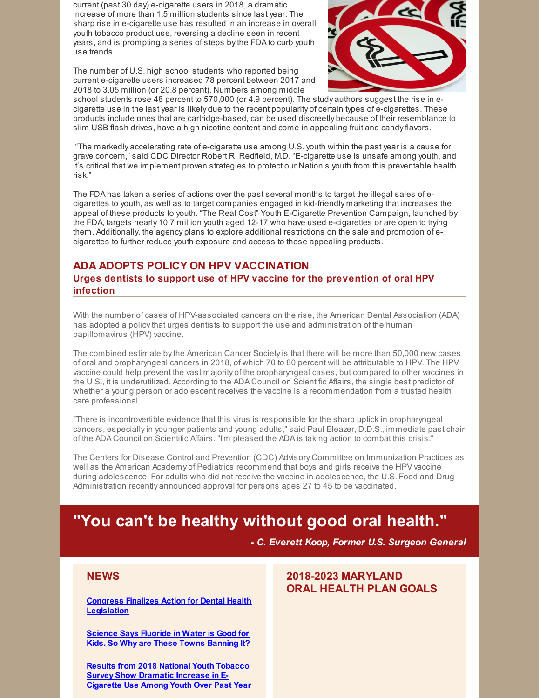current (past 30 day) e-cigarette users in 2018, a dramatic increase of more than 1.5 million students since last year. The sharp rise in e-cigarette use has resulted in an increase in overall youth tobacco product use, reversing a decline seen in recent years, and is prompting a series of steps bythe FDA to curb youth use trends.

The number of U.S. high school students who reported being current e-cigarette users increased 78 percent between 2017 and 2018 to 3.05 million (or 20.8 percent). Numbers among middle



school students rose 48 percent to 570,000 (or 4.9 percent). The study authors suggest the rise in ecigarette use in the last year is likely due to the recent popularity of certain types of e-cigarettes. These products include ones that are cartridge-based, can be used discreetly because of their resemblance to slim USB flash drives, have a high nicotine content and come in appealing fruit and candyflavors.

"The markedly accelerating rate of e-cigarette use among U.S. youth within the past year is a cause for grave concern," said CDC Director Robert R. Redfield, M.D. "E-cigarette use is unsafe among youth, and it's critical that we implement proven strategies to protect our Nation's youth from this preventable health risk."

The FDA has taken a series of actions over the past several months to target the illegal sales of ecigarettes to youth, as well as to target companies engaged in kid-friendly marketing that increases the appeal of these products to youth. "The Real Cost" Youth E-Cigarette Prevention Campaign, launched by the FDA, targets nearly 10.7 million youth aged 12-17 who have used e-cigarettes or are open to trying them. Additionally, the agency plans to explore additional restrictions on the sale and promotion of ecigarettes to further reduce youth exposure and access to these appealing products.

# **ADA ADOPTS POLICY ON HPV VACCINATION**

**Urges dentists to support use of HPV vaccine for the prevention of oral HPV infection**

With the number of cases of HPV-associated cancers on the rise, the American Dental Association (ADA) has adopted a policythat urges dentists to support the use and administration of the human papillomavirus (HPV) vaccine.

The combined estimate bythe American Cancer Societyis that there will be more than 50,000 new cases of oral and oropharyngeal cancers in 2018, of which 70 to 80 percent will be attributable to HPV. The HPV vaccine could help prevent the vast majority of the oropharyngeal cases, but compared to other vaccines in the U.S., it is underutilized. According to the ADA Council on Scientific Affairs, the single best predictor of whether a young person or adolescent receives the vaccine is a recommendation from a trusted health care professional.

"There is incontrovertible evidence that this virus is responsible for the sharp uptick in oropharyngeal cancers, especiallyin younger patients and young adults," said Paul Eleazer, D.D.S., immediate past chair of the ADA Council on Scientific Affairs. "I'm pleased the ADA is taking action to combat this crisis."

The Centers for Disease Control and Prevention (CDC) Advisory Committee on Immunization Practices as well as the American Academy of Pediatrics recommend that boys and girls receive the HPV vaccine during adolescence. For adults who did not receive the vaccine in adolescence, the U.S. Food and Drug Administration recently announced approval for persons ages 27 to 45 to be vaccinated.

# **"You can't be healthy without good oral health."**

*- C. Everett Koop, Former U.S. Surgeon General*

# **NEWS**

**Congress Finalizes Action for Dental Health [Legislation](https://www.ada.org/en/publications/ada-news/2018-archive/november/congress-finalizes-action-for-dental-health-legislation)**

**[Science](https://www.nbcnews.com/news/us-news/science-says-fluoride-water-good-kids-so-why-are-these-n920851) Says Fluoride in Water is Good for Kids. So Why are These Towns Banning It?**

**Results from 2018 National Youth Tobacco Survey Show [Dramatic](https://www.fda.gov/NewsEvents/Newsroom/PressAnnouncements/ucm6259) Increase in E-Cigarette Use Among Youth Over Past Year**

# **2018-2023 MARYLAND ORAL HEALTH PLAN GOALS**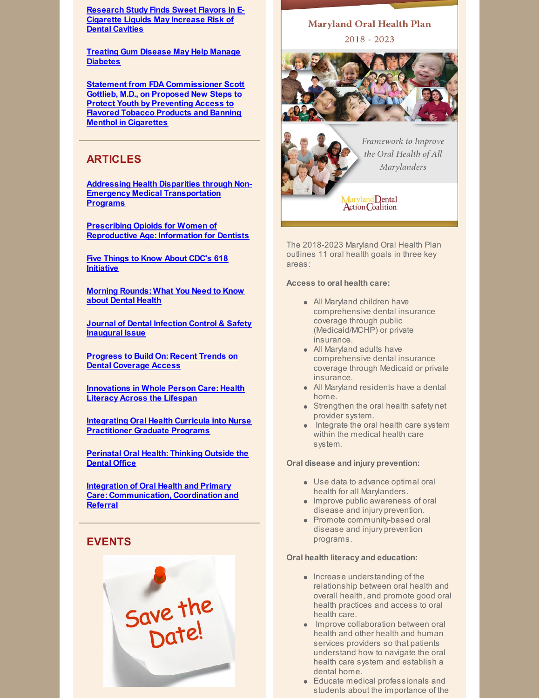**[Research](https://www.adafoundation.org/~/media/ADA_Foundation/Files/ADA-Foundation-News-Release-E-cigarette-Cariogenic-Sweet-Flavors-2018Sep24.pdf?la=en) Study Finds Sweet Flavors in E-Cigarette Liquids May Increase Risk of Dental Cavities**

**Treating Gum Disease May Help Manage [Diabetes](https://www.medscape.com/viewarticle/903960)**

**Statement from FDA [Commissioner](https://www.fda.gov/NewsEvents/Newsroom/PressAnnouncements/ucm625884.htm) Scott Gottlieb, M.D., on Proposed New Steps to Protect Youth by Preventing Access to Flavored Tobacco Products and Banning Menthol in Cigarettes**

# **ARTICLES**

**Addressing Health Disparities through Non-Emergency Medical [Transportation](http://files.constantcontact.com/0ff72fd4301/84047d1b-20d7-4fd4-9681-c499a7759e20.pdf) Programs**

**Prescribing Opioids for Women of [Reproductive](https://www.mchoralhealth.org/PDFs/prescribing-opioids.pdf) Age: Information for Dentists**

**Five Things to Know About CDC's 618 [Initiative](https://jphmpdirect.com/2018/10/10/five-things-to-know-about-cdcs-618-initiative/)**

**Morning [Rounds:](https://kpax.com/health-news/2018/10/31/morning-rounds-what-you-need-to-know-about-dental-health/) What You Need to Know about Dental Health**

**Journal of Dental [Infection](https://osapjdics.scholasticahq.com/issue/838) Control & Safety Inaugural Issue**

**Progress to Build On: Recent Trends on Dental [Coverage](https://www.cdhp.org/blog/557-progress-to-build-on-recent-trends-on-dental-coverage-access) Access**

**[Innovations](https://all4oralhealth.wordpress.com/2018/11/13/innovations-in-whole-person-care-health-literacy-across-the-lifespan/) in Whole Person Care: Health Literacy Across the Lifespan**

**Integrating Oral Health Curricula into Nurse [Practitioner](https://journals.lww.com/jaanp/Abstract/2018/11000/Integrating_oral_health_curricula_into_nurse.10.aspx) Graduate Programs**

**[Perinatal](https://www.cdhp.org/blog/593-perinatal-oral-health-thinking-outside-the-dental-office) Oral Health: Thinking Outside the Dental Office**

**Integration of Oral Health and Primary Care: [Communication,](https://nam.edu/integration-of-oral-health-and-primary-care-communication-coordination-and-referral/) Coordination and Referral**

# **EVENTS**



# **Maryland Oral Health Plan**  $2018 - 2023$



Framework to Improve the Oral Health of All **Marylanders** 

Maryland Dental<br>Action Coalition

The 2018-2023 Maryland Oral Health Plan outlines 11 oral health goals in three key areas:

### **Access to oral health care:**

- All Maryland children have comprehensive dental insurance coverage through public (Medicaid/MCHP) or private insurance.
- All Maryland adults have comprehensive dental insurance coverage through Medicaid or private insurance.
- All Maryland residents have a dental home.
- **Strengthen the oral health safety net** provider system.
- Integrate the oral health care system within the medical health care system.

### **Oral disease and injury prevention:**

- Use data to advance optimal oral health for all Marylanders.
- **Improve public awareness of oral** disease and injury prevention.
- Promote community-based oral disease and injury prevention programs.

### **Oral health literacy and education:**

- $\bullet$  Increase understanding of the relationship between oral health and overall health, and promote good oral health practices and access to oral health care.
- **Improve collaboration between oral** health and other health and human services providers so that patients understand how to navigate the oral health care system and establish a dental home.
- Educate medical professionals and students about the importance of the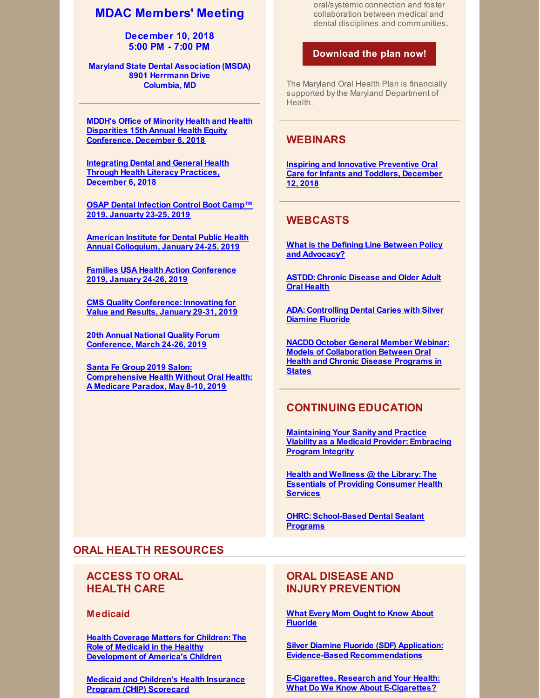# **MDAC Members' Meeting**

**December 10, 2018 5:00 PM - 7:00 PM**

**Maryland State Dental Association (MSDA) 8901 Herrmann Drive Columbia, MD**

**MDDH's Office of Minority Health and Health Disparities 15th Annual Health Equity [Conference,](https://health.maryland.gov/mhhd/Pages/home.aspx) December 6, 2018**

**[Integrating](https://www.eventbrite.com/e/integrating-dental-and-general-health-through-health-literacy-practices-tickets-51079452016?utm_source=NASEM+News+and+Publications&utm_campaign=b07c5ef26d-Oral_Health_Literacy_2018_11_20&utm_medium=email&utm_term=0_96101de015-b07c5ef26d-102331861&goal=0_96101de015-b07c5ef26d-102331861&mc_cid=b07c5ef26d&mc_eid=76a325b675) Dental and General Health Through Health Literacy Practices, December 6, 2018**

**OSAP Dental [Infection](https://www.osap.org/page/2019BootCamp#Register) Control Boot Camp™ 2019, Januarty 23-25, 2019**

**American Institute for Dental Public Health Annual [Colloquium,](http://aidph.org/colloquium) January 24-25, 2019**

**Families USA Health Action [Conference](https://familiesusa.org/initiatives/health-action-conference) 2019, January 24-26, 2019**

**CMS Quality [Conference:](https://bizzell.regfox.com/2019-cms-registration-site) Innovating for Value and Results, January 29-31, 2019**

**20th Annual National Quality Forum [Conference,](http://www.cvent.com/events/2019-national-quality-forum-annual-conference-answering-the-call-results-that-matter-in-quality-and-/event-summary-a145e92db6d04fd28ec370c8ce8d5afc.aspx?RefID=Summary&utm_source=informz&utm_medium=email&utm_campaign=2019_annual_conference) March 24-26, 2019**

**Santa Fe Group 2019 Salon: [Comprehensive](http://santafegroup.org/) Health Without Oral Health: A Medicare Paradox, May 8-10, 2019**

oral/systemic connection and foster collaboration between medical and dental disciplines and communities.

### **[Download](http://www.mdac.us/2018_01_14/MD_OHP_2018_0102.pdf) the plan now!**

The Maryland Oral Health Plan is financially supported bythe Maryland Department of Health.

## **WEBINARS**

**Inspiring and Innovative [Preventive](https://register.gotowebinar.com/register/1401510481635867395) Oral Care for Infants and Toddlers, December 12, 2018**

# **WEBCASTS**

**What is the Defining Line Between Policy and [Advocacy?](https://astdd.adobeconnect.com/_a933923135/p80h2cqugap1/?proto=true)**

**ASTDD: Chronic [Disease](https://astdd.adobeconnect.com/_a933923135/pqkumkkq99o5/?proto=true) and Older Adult Oral Health**

**ADA: [Controlling](https://www.youtube.com/watch?v=qlICkK-61ng&feature=youtu.be) Dental Caries with Silver Diamine Fluoride**

**NACDD October General Member Webinar: Models of [Collaboration](https://vimeo.com/297315349) Between Oral Health and Chronic Disease Programs in States**

# **CONTINUING EDUCATION**

**[Maintaining](http://ebusiness.ada.org/education/viewcourse.aspx?id=85) Your Sanity and Practice Viability as a Medicaid Provider: Embracing Program Integrity**

**Health and Wellness @ the Library: The Essentials of Providing [Consumer](https://nnlm.gov/classes/healthwellness) Health Services**

**OHRC: [School-Based](https://www.mchoralhealth.org/Dental-Sealant/) Dental Sealant Programs**

# **ORAL HEALTH RESOURCES**

# **ACCESS TO ORAL HEALTH CARE**

**Medicaid**

**Health Coverage Matters for Children: The Role of Medicaid in the Healthy [Development](https://familiesusa.org/sites/default/files/product_documents/MCD_Medicaid-and-Kids_Issue-Brief.pdf) of America's Children**

**Medicaid and [Children's](https://www.medicaid.gov/state-overviews/scorecard/index.html) Health Insurance Program (CHIP) Scorecard**

# **ORAL DISEASE AND INJURY PREVENTION**

**What Every Mom Ought to Know About [Fluoride](https://fluorideexposed.org/fluoride-facts-every-mom-ought-to-know?utm_source=Fluoride+News+Exposed&utm_campaign=6584723eeb-EMAIL_CAMPAIGN_2018_11_26_04_53&utm_medium=email&utm_term=0_385f8cc1bd-6584723eeb-509779021)**

**Silver Diamine Fluoride (SDF) Application: Evidence-Based [Recommendations](https://www.youtube.com/watch?v=a0HH7GifdM4&feature=youtu.be)**

**E-Cigarettes, Research and Your Health: What Do We Know About [E-Cigarettes?](https://www.adafoundation.org/~/media/ADA_Foundation/Files/ADA-Foundation-VRC-Vaping-Research-and-Health.pdf?la=en)**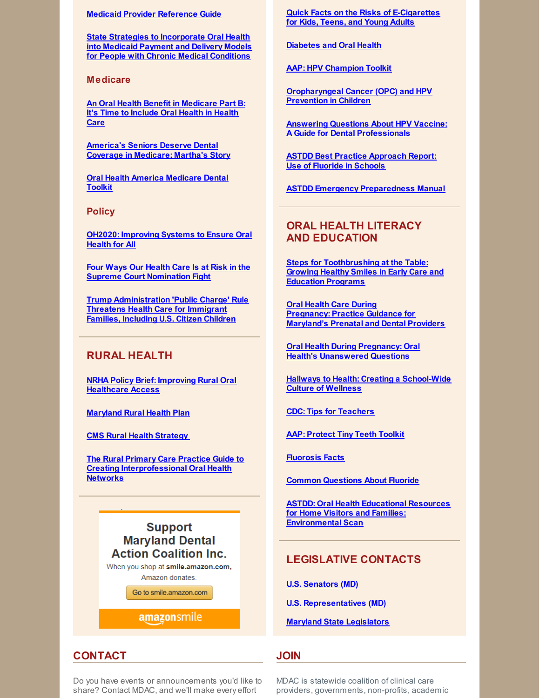### **Medicaid Provider [Reference](https://www.ada.org/en/public-programs/action-for-dental-health/strengthening-the-dental-safety-net/medicaid-provider-reference-guide) Guide**

**State Strategies to [Incorporate](https://nashp.org/wp-content/uploads/2018/07/Dentaquest-Report-Final.pdf) Oral Health into Medicaid Payment and Delivery Models for People with Chronic Medical Conditions**

### **Medicare**

**An Oral Health Benefit in [Medicare](https://familiesusa.org/sites/default/files/product_documents/Medicare_Dental_White_Paper.pdf) Part B: It's Time to Include Oral Health in Health Care**

**[America's](https://familiesusa.org/product/america%E2%80%99s-seniors-deserve-dental-coverage-medicare-martha%E2%80%99s-story) Seniors Deserve Dental Coverage in Medicare: Martha's Story**

**Oral Health America [Medicare](https://oralhealthamerica.org/participate/take-action/medicaretoolkit/) Dental Toolkit**

**Policy**

**OH2020: [Improving](http://files.constantcontact.com/f29af31a201/b628f6ff-e5e8-4aeb-9520-7b92e915a3d9.pdf) Systems to Ensure Oral Health for All**

**Four Ways Our Health Care Is at Risk in the Supreme Court [Nomination](https://familiesusa.org/product/four-ways-our-health-care-risk-supreme-court-nomination-fight) Fight**

**Trump [Administration](https://familiesusa.org/product/trump-administration-threatens-health-care-immigrant-families-including-us-citizen-children) 'Public Charge' Rule Threatens Health Care for Immigrant Families, Including U.S. Citizen Children**

# **RURAL HEALTH**

**NRHA Policy Brief: Improving Rural Oral [Healthcare](https://www.ruralhealthweb.org/NRHA/media/Emerge_NRHA/Advocacy/Policy documents/05-11-18-NRHA-Policy-Improving-Rural-Oral-Health-Access.pdf) Access**

**[Maryland](http://mdruralhealth.org/docs/MDRH-Plan-2018-WEB.pdf) Rural Health Plan**

**CMS Rural Health [Strategy](https://www.cms.gov/About-CMS/Agency-Information/OMH/Downloads/Rural-Strategy-2018.pdf)**

**The Rural Primary Care Practice Guide to Creating [Interprofessional](https://www.dentaquestinstitute.org/sites/default/files/MoreCareRural-Guide_11-14-17.pdf) Oral Health Networks**

# **Support Maryland Dental Action Coalition Inc.**

When you shop at smile.amazon.com, Amazon donates.

Go to smile.amazon.com

amazonsmile

# **CONTACT**

Do you have events or announcements you'd like to share? Contact MDAC, and we'll make every effort

**Quick Facts on the Risks of [E-Cigarettes](https://www.cdc.gov/tobacco/basic_information/e-cigarettes/Quick-Facts-on-the-Risks-of-E-cigarettes-for-Kids-Teens-and-Young-Adults.html) for Kids, Teens, and Young Adults**

**[Diabetes](https://professional.diabetes.org/sites/professional.diabetes.org/files/pel/source/sci-advisor_2018_diabetes_oral_health_v4.pdf) and Oral Health**

**AAP: HPV [Champion](https://www.aap.org/en-us/advocacy-and-policy/aap-health-initiatives/immunizations/HPV-Champion-Toolkit/Pages/HPV-Champion-Toolkit.aspx?utm_source=MagMail&utm_medium=email&utm_term=dteigiser@mdac.us&utm_content=Campaign for Dental Health %28August 2018%29&utm_campaign=Life is Better With Teeth - August 2018) Toolkit**

**[Oropharyngeal](https://www.aap.org/en-us/Documents/AAP_OPC_HPV_5KeyPoints_final.pdf?utm_source=MagMail&utm_medium=email&utm_term=dteigiser@mdac.us&utm_content=Campaign for Dental Health %28August 2018%29&utm_campaign=Life is Better With Teeth - August 2018) Cancer (OPC) and HPV Prevention in Children**

**Answering Questions About HPV Vaccine: A Guide for Dental [Professionals](https://www.aap.org/en-us/Documents/AAP_OPCHPV_WhatDentalProsNeedToKnow_final.pdf?utm_source=MagMail&utm_medium=email&utm_term=dteigiser@mdac.us&utm_content=Campaign for Dental Health %28August 2018%29&utm_campaign=Life is Better With Teeth - August 2018)**

**ASTDD Best Practice [Approach](https://www.astdd.org/use-of-fluoride-in-schools/) Report: Use of Fluoride in Schools**

**ASTDD Emergency [Preparedness](https://www.astdd.org/emergency-preparedness-manual/) Manual**

# **ORAL HEALTH LITERACY AND EDUCATION**

**Steps for [Toothbrushing](https://eclkc.ohs.acf.hhs.gov/video/steps-toothbrushing-table-growing-healthy-smiles-early-care-education-programs) at the Table: Growing Healthy Smiles in Early Care and Education Programs**

**Oral Health Care During [Pregnancy:](https://phpa.health.maryland.gov/oralhealth/Pages/Oral_Health_and_Pregnancy.aspx) Practice Guidance for Maryland's Prenatal and Dental Providers**

**Oral Health During Pregnancy: Oral Health's [Unanswered](https://s3.amazonaws.com/cdhp/UQ+Brief+series/CDHP_IB_Final+Version.pdf) Questions**

**Hallways to Health: Creating a [School-Wide](https://tools.sbh4all.org/t/hallways-to-health/) Culture of Wellness**

**CDC: Tips for [Teachers](https://www.cdc.gov/healthyschools/npao/pdf/tips-for-teachers.pdf)**

**AAP: [Protect](https://www.aap.org/en-us/about-the-aap/aap-press-room/campaigns/tiny-teeth/Pages/default.aspx?utm_source=MagMail&utm_medium=email&utm_term=hrussinof@aap.org&utm_content=SOOH Newsletter August 2018&utm_campaign=AAP Section on Oral Health Newsletter - August 2018) Tiny Teeth Toolkit**

**[Fluorosis](https://ilikemyteeth.org/wp-content/uploads/2014/10/FluorosisFactsForFamilies.pdf) Facts**

**Common [Questions](https://ilikemyteeth.org/wp-content/uploads/2018/06/CommonQuestionsAboutFluoride.pdf) About Fluoride**

**ASTDD: Oral Health Educational Resources for Home Visitors and Families: [Environmental](http://www.astdd.org/docs/home-visiting-environmental-scan-2018.pdf) Scan**

# **LEGISLATIVE CONTACTS**

**U.S. [Senators](https://www.senate.gov/general/contact_information/senators_cfm.cfm?State=MD) (MD)**

**U.S. [Representatives](https://www.house.gov/representatives#state-maryland) (MD)**

**Maryland State [Legislators](http://mgaleg.maryland.gov/webmga/frmmain.aspx?pid=legisrpage)**

# **JOIN**

MDAC is statewide coalition of clinical care providers, governments, non-profits, academic